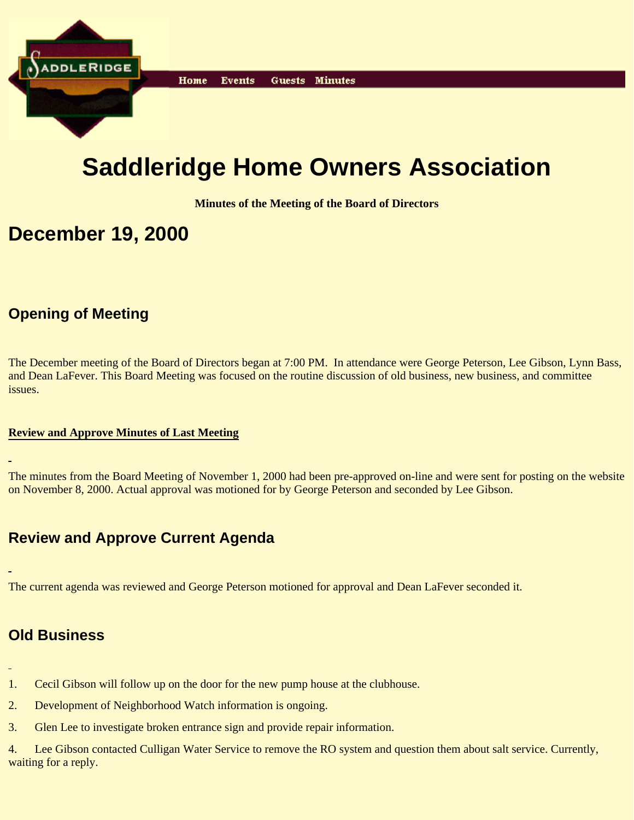

# **Saddleridge Home Owners Association**

**Minutes of the Meeting of the Board of Directors**

## **December 19, 2000**

## **Opening of Meeting**

The December meeting of the Board of Directors began at 7:00 PM. In attendance were George Peterson, Lee Gibson, Lynn Bass, and Dean LaFever. This Board Meeting was focused on the routine discussion of old business, new business, and committee issues.

#### **Review and Approve Minutes of Last Meeting**

The minutes from the Board Meeting of November 1, 2000 had been pre-approved on-line and were sent for posting on the website on November 8, 2000. Actual approval was motioned for by George Peterson and seconded by Lee Gibson.

## **Review and Approve Current Agenda**

The current agenda was reviewed and George Peterson motioned for approval and Dean LaFever seconded it.

## **Old Business**

- 
- 1. Cecil Gibson will follow up on the door for the new pump house at the clubhouse.
- 2. Development of Neighborhood Watch information is ongoing.
- 3. Glen Lee to investigate broken entrance sign and provide repair information.

4. Lee Gibson contacted Culligan Water Service to remove the RO system and question them about salt service. Currently, waiting for a reply.